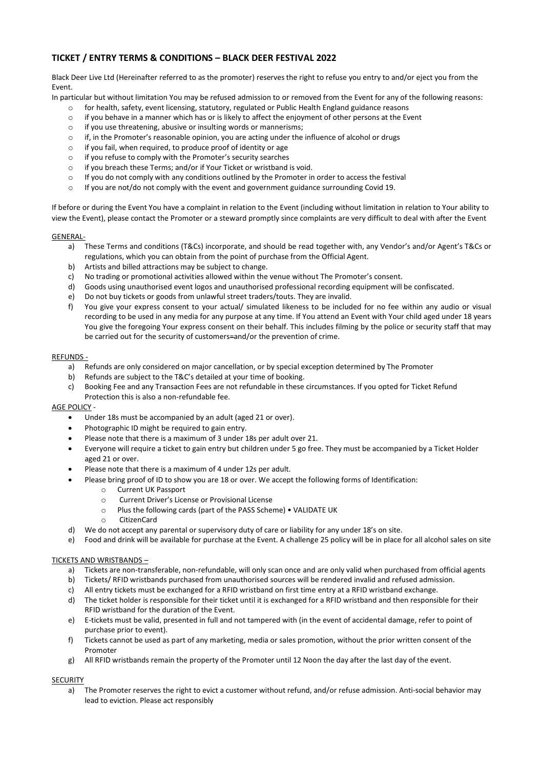# **TICKET / ENTRY TERMS & CONDITIONS – BLACK DEER FESTIVAL 2022**

Black Deer Live Ltd (Hereinafter referred to as the promoter) reserves the right to refuse you entry to and/or eject you from the Event.

In particular but without limitation You may be refused admission to or removed from the Event for any of the following reasons:

- o for health, safety, event licensing, statutory, regulated or Public Health England guidance reasons
- $\circ$  if you behave in a manner which has or is likely to affect the enjoyment of other persons at the Event
- o if you use threatening, abusive or insulting words or mannerisms;
- $\circ$  if, in the Promoter's reasonable opinion, you are acting under the influence of alcohol or drugs
- o if you fail, when required, to produce proof of identity or age
- o if you refuse to comply with the Promoter's security searches
- o if you breach these Terms; and/or if Your Ticket or wristband is void.
- o If you do not comply with any conditions outlined by the Promoter in order to access the festival
- $\circ$  If you are not/do not comply with the event and government guidance surrounding Covid 19.

If before or during the Event You have a complaint in relation to the Event (including without limitation in relation to Your ability to view the Event), please contact the Promoter or a steward promptly since complaints are very difficult to deal with after the Event

## GENERAL-

- a) These Terms and conditions (T&Cs) incorporate, and should be read together with, any Vendor's and/or Agent's T&Cs or regulations, which you can obtain from the point of purchase from the Official Agent.
- b) Artists and billed attractions may be subject to change.
- c) No trading or promotional activities allowed within the venue without The Promoter's consent.
- d) Goods using unauthorised event logos and unauthorised professional recording equipment will be confiscated.
- e) Do not buy tickets or goods from unlawful street traders/touts. They are invalid.
- f) You give your express consent to your actual/ simulated likeness to be included for no fee within any audio or visual recording to be used in any media for any purpose at any time. If You attend an Event with Your child aged under 18 years You give the foregoing Your express consent on their behalf. This includes filming by the police or security staff that may be carried out for the security of customers=and/or the prevention of crime.

## REFUNDS -

- a) Refunds are only considered on major cancellation, or by special exception determined by The Promoter
- b) Refunds are subject to the T&C's detailed at your time of booking.
- c) Booking Fee and any Transaction Fees are not refundable in these circumstances. If you opted for Ticket Refund Protection this is also a non-refundable fee.

# AGE POLICY -

- Under 18s must be accompanied by an adult (aged 21 or over).
- Photographic ID might be required to gain entry.
- Please note that there is a maximum of 3 under 18s per adult over 21.
- Everyone will require a ticket to gain entry but children under 5 go free. They must be accompanied by a Ticket Holder aged 21 or over.
- Please note that there is a maximum of 4 under 12s per adult.
	- Please bring proof of ID to show you are 18 or over. We accept the following forms of Identification:
		- o Current UK Passport
		- o Current Driver's License or Provisional License
		- o Plus the following cards (part of the PASS Scheme) VALIDATE UK
		- o CitizenCard
- d) We do not accept any parental or supervisory duty of care or liability for any under 18's on site.
- e) Food and drink will be available for purchase at the Event. A challenge 25 policy will be in place for all alcohol sales on site

# TICKETS AND WRISTBANDS –

- a) Tickets are non-transferable, non-refundable, will only scan once and are only valid when purchased from official agents
- b) Tickets/ RFID wristbands purchased from unauthorised sources will be rendered invalid and refused admission.
- c) All entry tickets must be exchanged for a RFID wristband on first time entry at a RFID wristband exchange.
- d) The ticket holder is responsible for their ticket until it is exchanged for a RFID wristband and then responsible for their RFID wristband for the duration of the Event.
- e) E-tickets must be valid, presented in full and not tampered with (in the event of accidental damage, refer to point of purchase prior to event).
- f) Tickets cannot be used as part of any marketing, media or sales promotion, without the prior written consent of the Promoter
- g) All RFID wristbands remain the property of the Promoter until 12 Noon the day after the last day of the event.

# **SECURITY**

a) The Promoter reserves the right to evict a customer without refund, and/or refuse admission. Anti-social behavior may lead to eviction. Please act responsibly